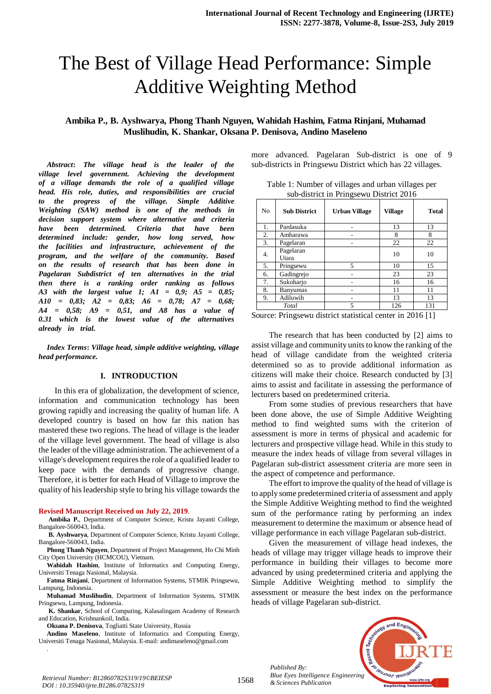# The Best of Village Head Performance: Simple Additive Weighting Method

# **Ambika P., B. Ayshwarya, Phong Thanh Nguyen, Wahidah Hashim, Fatma Rinjani, Muhamad Muslihudin, K. Shankar, Oksana P. Denisova, Andino Maseleno**

*Abstract:* The village head is the leader of the *village level* government. Achieving the development *of a village demands the role of a qualified village head.* His role, duties, and responsibilities are crucial *to* the progress of the village. Simple Additive *Meighting* (SAW) method is one of the methods in *decision support system* where alternative and criteria *have been determined. Criteria that have been determined include: gender, how long served, how the facilities* and *infrastructure, achievement of the program,* and the welfare of the community. Based *on* the results of research that has been done in *Pagelaran Subdistrict of ten alternatives in the trial then there is a ranking order ranking as follows* A3 with the largest value 1;  $AI = 0.9$ ;  $AS = 0.85$ ;  $A10 = 0,83; A2 = 0,83; A6 = 0,78; A7 = 0,68;$  $A4 = 0.58$ ;  $A9 = 0.51$ , and  $A8$  has a value of *n*<sub>31</sub>*TT which is the lowest value of the alternatives*  $a$ *Iready in trial.* 

*Index Terms***:** *Village head, simple additive weighting, village head performance.*

#### **I. INTRODUCTION**

 In this era of globalization, the development of science, information and communication technology has been growing rapidly and increasing the quality of human life. A developed country is based on how far this nation has mastered these two regions. The head of village is the leader of the village level government. The head of village is also the leader of the village administration. The achievement of a village's development requires the role of a qualified leader to keep pace with the demands of progressive change. Therefore, it is better for each Head of Village to improve the quality of his leadership style to bring his village towards the

#### **Revised Manuscript Received on July 22, 2019**.

**Ambika P.**, Department of Computer Science, Kristu Jayanti College, Bangalore-560043, India.

**B. Ayshwarya**, Department of Computer Science, Kristu Jayanti College, Bangalore-560043, India.

**Phong Thanh Nguyen**, Department of Project Management, Ho Chi Minh City Open University (HCMCOU), Vietnam.

**Wahidah Hashim**, Institute of Informatics and Computing Energy, Universiti Tenaga Nasional, Malaysia.

**Fatma Rinjani**, Department of Information Systems, STMIK Pringsewu, Lampung, Indonesia.

**Muhamad Muslihudin**, Department of Information Systems, STMIK Pringsewu, Lampung, Indonesia.

**K. Shankar**, School of Computing, Kalasalingam Academy of Research and Education, Krishnankoil, India.

**Oksana P. Denisova**, Togliatti State University, Russia

.

**Andino Maseleno**, Institute of Informatics and Computing Energy, Universiti Tenaga Nasional, Malaysia. E-mail: andimaseleno@gmail.com

more advanced. Pagelaran Sub-district is one of 9 sub-districts in Pringsewu District which has 22 villages.

| Table 1: Number of villages and urban villages per |                                         |  |
|----------------------------------------------------|-----------------------------------------|--|
|                                                    | sub-district in Pringsewu District 2016 |  |

| No | <b>Sub District</b> | <b>Urban Village</b> | <b>Village</b> | <b>Total</b> |
|----|---------------------|----------------------|----------------|--------------|
| 1. | Pardasuka           |                      | 13             | 13           |
| 2. | Ambarawa            |                      | 8              | 8            |
| 3. | Pagelaran           |                      | 22             | 22           |
| 4. | Pagelaran<br>Utara  |                      | 10             | 10           |
| 5. | Pringsewu           | 5                    | 10             | 15           |
| 6. | Gadingrejo          |                      | 23             | 23           |
| 7. | Sukoharjo           |                      | 16             | 16           |
| 8. | Banyumas            |                      | 11             | 11           |
| 9. | Adiluwih            |                      | 13             | 13           |
|    | Total               | 5                    | 126            | 131          |

Source: Pringsewu district statistical center in 2016 [1]

The research that has been conducted by [2] aims to assist village and community units to know the ranking of the head of village candidate from the weighted criteria determined so as to provide additional information as citizens will make their choice. Research conducted by [3] aims to assist and facilitate in assessing the performance of lecturers based on predetermined criteria.

From some studies of previous researchers that have been done above, the use of Simple Additive Weighting method to find weighted sums with the criterion of assessment is more in terms of physical and academic for lecturers and prospective village head. While in this study to measure the index heads of village from several villages in Pagelaran sub-district assessment criteria are more seen in the aspect of competence and performance.

The effort to improve the quality of the head of village is to apply some predetermined criteria of assessment and apply the Simple Additive Weighting method to find the weighted sum of the performance rating by performing an index measurement to determine the maximum or absence head of village performance in each village Pagelaran sub-district.

Given the measurement of village head indexes, the heads of village may trigger village heads to improve their performance in building their villages to become more advanced by using predetermined criteria and applying the Simple Additive Weighting method to simplify the assessment or measure the best index on the performance heads of village Pagelaran sub-district.



*Retrieval Number: B12860782S319/19©BEIESP DOI : 10.35940/ijrte.B1286.0782S319*

*Published By:*

*& Sciences Publication*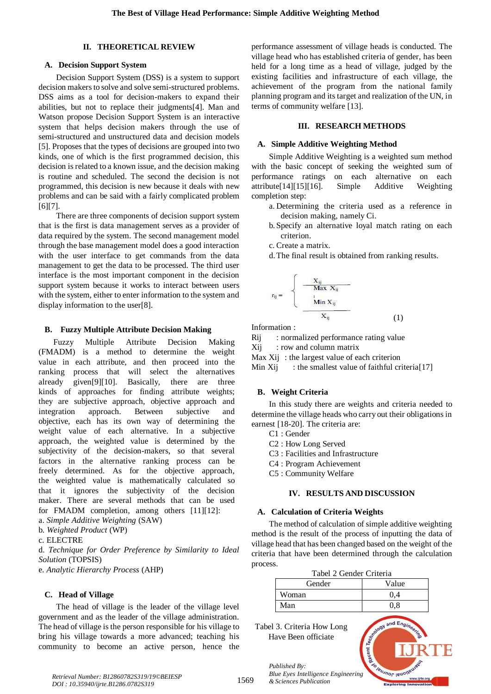#### **II. THEORETICAL REVIEW**

#### **A. Decision Support System**

Decision Support System (DSS) is a system to support decision makers to solve and solve semi-structured problems. DSS aims as a tool for decision-makers to expand their abilities, but not to replace their judgments[4]. Man and Watson propose Decision Support System is an interactive system that helps decision makers through the use of semi-structured and unstructured data and decision models [5]. Proposes that the types of decisions are grouped into two kinds, one of which is the first programmed decision, this decision is related to a known issue, and the decision making is routine and scheduled. The second the decision is not programmed, this decision is new because it deals with new problems and can be said with a fairly complicated problem [6][7].

There are three components of decision support system that is the first is data management serves as a provider of data required by the system. The second management model through the base management model does a good interaction with the user interface to get commands from the data management to get the data to be processed. The third user interface is the most important component in the decision support system because it works to interact between users with the system, either to enter information to the system and display information to the user[8].

#### **B. Fuzzy Multiple Attribute Decision Making**

Fuzzy Multiple Attribute Decision Making (FMADM) is a method to determine the weight value in each attribute, and then proceed into the ranking process that will select the alternatives already given[9][10]. Basically, there are three kinds of approaches for finding attribute weights; they are subjective approach, objective approach and integration approach. Between subjective and objective, each has its own way of determining the weight value of each alternative. In a subjective approach, the weighted value is determined by the subjectivity of the decision-makers, so that several factors in the alternative ranking process can be freely determined. As for the objective approach, the weighted value is mathematically calculated so that it ignores the subjectivity of the decision maker. There are several methods that can be used for FMADM completion, among others  $[11][12]$ :

a. *Simple Additive Weighting* (SAW)

b. *Weighted Product* (WP)

c. ELECTRE

d. *Technique for Order Preference by Similarity to Ideal Solution* (TOPSIS)

e. *Analytic Hierarchy Process* (AHP)

#### **C. Head of Village**

The head of village is the leader of the village level government and as the leader of the village administration. The head of village is the person responsible for his village to bring his village towards a more advanced; teaching his community to become an active person, hence the performance assessment of village heads is conducted. The village head who has established criteria of gender, has been held for a long time as a head of village, judged by the existing facilities and infrastructure of each village, the achievement of the program from the national family planning program and its target and realization of the UN, in terms of community welfare [13].

## **III. RESEARCH METHODS**

#### **A. Simple Additive Weighting Method**

Simple Additive Weighting is a weighted sum method with the basic concept of seeking the weighted sum of performance ratings on each alternative on each attribute[14][15][16]. Simple Additive Weighting completion step:

- a. Determining the criteria used as a reference in decision making, namely Ci.
- b. Specify an alternative loyal match rating on each criterion.
- c. Create a matrix.
- d.The final result is obtained from ranking results.

$$
= \begin{cases} \frac{X_{ij}}{\text{Max } X_{ij}} \\ \frac{1}{\text{Min } X_{ij}} \\ \frac{X_{ij}}{\text{min } X_{ij}} \end{cases}
$$
 (1)

Information :

 $\Gamma_i$ 

Rij : normalized performance rating value

 $Xii$  : row and column matrix

Max Xii : the largest value of each criterion

Min Xij : the smallest value of faithful criteria $[17]$ 

#### **B. Weight Criteria**

In this study there are weights and criteria needed to determine the village heads who carry out their obligations in earnest [18-20]. The criteria are:

- C1 : Gender
- C2 : How Long Served
- C3 : Facilities and Infrastructure
- C4 : Program Achievement
- C5 : Community Welfare

## **IV. RESULTS AND DISCUSSION**

## **A. Calculation of Criteria Weights**

The method of calculation of simple additive weighting method is the result of the process of inputting the data of village head that has been changed based on the weight of the criteria that have been determined through the calculation process.

| Tabel 2 Gender Criteria |       |  |
|-------------------------|-------|--|
| Gender                  | Value |  |
| Woman                   | 04    |  |
| Man                     | () X  |  |

Tabel 3. Criteria How Long Have Been officiate

*& Sciences Publication* 

*Published By:*

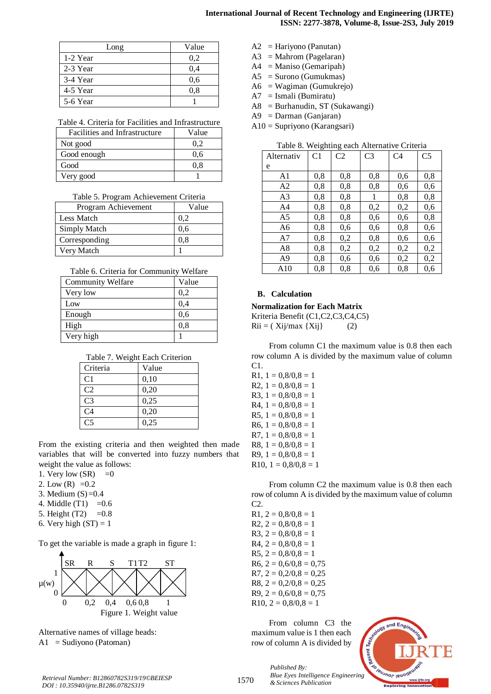## **International Journal of Recent Technology and Engineering (IJRTE) ISSN: 2277-3878, Volume-8, Issue-2S3, July 2019**

| Long     | Value |
|----------|-------|
| 1-2 Year | 0,2   |
| 2-3 Year | 0.4   |
| 3-4 Year | 0.6   |
| 4-5 Year | 0.8   |
| 5-6 Year |       |

Table 4. Criteria for Facilities and Infrastructure

| Facilities and Infrastructure | Value |
|-------------------------------|-------|
| Not good                      | 0.2   |
| Good enough                   | 0.6   |
| Good                          | 0.8   |
| Very good                     |       |

|  |  | Table 5. Program Achievement Criteria |  |
|--|--|---------------------------------------|--|
|--|--|---------------------------------------|--|

| Program Achievement | Value |
|---------------------|-------|
| Less Match          | 0.2   |
| Simply Match        | 0.6   |
| Corresponding       | 0.8   |
| Very Match          |       |

Table 6. Criteria for Community Welfare

| <b>Community Welfare</b> | Value |
|--------------------------|-------|
| Very low                 | 0,2   |
| Low                      | 0,4   |
| Enough                   | 0,6   |
| High                     | 0,8   |
| Very high                |       |

Table 7. Weight Each Criterion

| Value |
|-------|
| 0,10  |
| 0,20  |
| 0,25  |
| 0,20  |
| 0,25  |
|       |

From the existing criteria and then weighted then made variables that will be converted into fuzzy numbers that weight the value as follows:

1. Very low  $(SR) = 0$ 

- 2. Low  $(R) = 0.2$
- 3. Medium  $(S)=0.4$
- 4. Middle  $(T1) = 0.6$
- 5. Height  $(T2) = 0.8$
- 6. Very high  $(ST) = 1$

To get the variable is made a graph in figure 1:



Alternative names of village heads:  $A1 =$  Sudiyono (Patoman)

- A2 = Hariyono (Panutan)
- $A3 = \text{Mahrom}$  (Pagelaran)
- $A4 =$ Maniso (Gemaripah)
- A5 = Surono (Gumukmas)
- A6 = Wagiman (Gumukrejo)
- $A7 = I \text{small}$  (Bumiratu)
- A8 = Burhanudin, ST (Sukawangi)
- A9 = Darman (Ganjaran)
- A10 = Supriyono (Karangsari)

Table 8. Weighting each Alternative Criteria

| Alternativ | C <sub>1</sub> | C <sub>2</sub> | C <sub>3</sub> | C <sub>4</sub> | C <sub>5</sub> |
|------------|----------------|----------------|----------------|----------------|----------------|
| e          |                |                |                |                |                |
| A1         | 0,8            | 0.8            | 0,8            | 0,6            | 0,8            |
| A2         | 0,8            | 0.8            | 0.8            | 0,6            | 0,6            |
| A3         | 0,8            | 0,8            | 1              | 0,8            | 0,8            |
| A4         | 0,8            | 0,8            | 0,2            | 0,2            | 0,6            |
| A5         | 0,8            | 0,8            | 0.6            | 0,6            | 0,8            |
| A6         | 0,8            | 0.6            | 0.6            | 0,8            | 0,6            |
| A7         | 0,8            | 0,2            | 0,8            | 0.6            | 0,6            |
| A8         | 0,8            | 0,2            | 0,2            | 0,2            | 0,2            |
| A9         | 0,8            | 0.6            | 0.6            | 0,2            | 0,2            |
| A10        | 0,8            | 0,8            | 0,6            | 0,8            | 0,6            |

## **B. Calculation**

**Normalization for Each Matrix**

Kriteria Benefit (C1,C2,C3,C4,C5)  $Rii = (Xij/max \{Xij\})$  (2)

From column C1 the maximum value is 0.8 then each row column A is divided by the maximum value of column C1.

R1,  $1 = 0,8/0,8 = 1$ R2,  $1 = 0.8/0.8 = 1$ R3,  $1 = 0.8/0.8 = 1$  $R4, 1 = 0.8/0.8 = 1$ R5,  $1 = 0,8/0,8 = 1$ R6,  $1 = 0,8/0,8 = 1$ R7,  $1 = 0,8/0,8 = 1$ R8,  $1 = 0,8/0,8 = 1$ R9,  $1 = 0,8/0,8 = 1$ R10,  $1 = 0.8/0.8 = 1$ 

From column C2 the maximum value is 0.8 then each row of column A is divided by the maximum value of column C2.

 $R1, 2 = 0,8/0,8 = 1$  $R2, 2 = 0,8/0,8 = 1$ R3,  $2 = 0,8/0,8 = 1$  $R4, 2 = 0.8/0.8 = 1$ R5,  $2 = 0,8/0,8 = 1$  $R6, 2 = 0,6/0,8 = 0,75$  $R7, 2 = 0.2/0.8 = 0.25$  $R8, 2 = 0.2/0.8 = 0.25$  $R9, 2 = 0,6/0,8 = 0,75$  $R10, 2 = 0,8/0,8 = 1$ 

From column C3 the maximum value is 1 then each row of column A is divided by

> *Published By: Blue Eyes Intelligence Engineering & Sciences Publication*

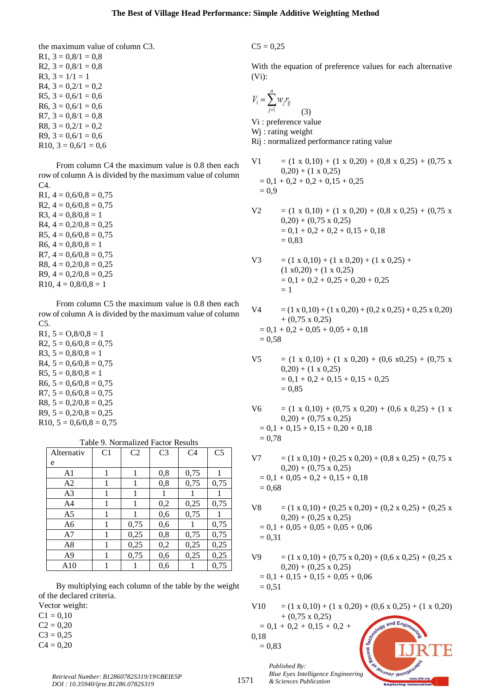the maximum value of column C3. R1,  $3 = 0,8/1 = 0,8$ R2,  $3 = 0.8/1 = 0.8$  $R3, 3 = 1/1 = 1$  $R4$ ,  $3 = 0,2/1 = 0,2$ R5,  $3 = 0.6/1 = 0.6$  $R6, 3 = 0.6/1 = 0.6$  $R7, 3 = 0,8/1 = 0,8$ R8,  $3 = 0,2/1 = 0,2$  $R9, 3 = 0,6/1 = 0,6$ R10,  $3 = 0.6/1 = 0.6$ 

From column C4 the maximum value is 0.8 then each row of column A is divided by the maximum value of column  $C<sub>4</sub>$ 

 $R1, 4 = 0.6/0.8 = 0.75$  $R2, 4 = 0,6/0,8 = 0,75$ R3,  $4 = 0.8/0.8 = 1$  $R4$ ,  $4 = 0,2/0,8 = 0,25$  $R5, 4 = 0,6/0,8 = 0,75$  $R6, 4 = 0,8/0,8 = 1$  $R7, 4 = 0.6/0.8 = 0.75$  $R8, 4 = 0,2/0,8 = 0,25$  $R9, 4 = 0,2/0,8 = 0,25$  $R10, 4 = 0,8/0,8 = 1$ 

From column C5 the maximum value is 0.8 then each row of column A is divided by the maximum value of column C5.

R1,  $5 = 0.8/0.8 = 1$  $R2, 5 = 0,6/0,8 = 0,75$ R3,  $5 = 0,8/0,8 = 1$  $R4, 5 = 0,6/0,8 = 0,75$ R5,  $5 = 0,8/0,8 = 1$  $R6, 5 = 0,6/0,8 = 0,75$  $R7, 5 = 0.6/0.8 = 0.75$  $R8, 5 = 0.2/0.8 = 0.25$  $R9, 5 = 0.2/0.8 = 0.25$  $R10, 5 = 0,6/0, 8 = 0,75$ 

| Alternativ     | C <sub>1</sub> | C <sub>2</sub> | C <sub>3</sub> | C <sub>4</sub> | C <sub>5</sub> |
|----------------|----------------|----------------|----------------|----------------|----------------|
| e              |                |                |                |                |                |
| A1             | 1              | 1              | 0,8            | 0,75           |                |
| A2             | 1              | 1              | 0,8            | 0,75           | 0,75           |
| A <sub>3</sub> | 1              | 1              | 1              |                |                |
| A4             | 1              | 1              | 0,2            | 0,25           | 0,75           |
| A5             | 1              | 1              | 0,6            | 0,75           |                |
| A <sub>6</sub> | 1              | 0,75           | 0.6            |                | 0,75           |
| A7             | 1              | 0,25           | 0,8            | 0,75           | 0,75           |
| A8             | 1              | 0,25           | 0,2            | 0,25           | 0,25           |
| A <sub>9</sub> | 1              | 0,75           | 0,6            | 0,25           | 0,25           |
| A10            |                |                | 0,6            |                | 0,75           |

Table 9. Normalized Factor Results

By multiplying each column of the table by the weight of the declared criteria.

Vector weight:

 $C1 = 0.10$ 

 $C2 = 0.20$ 

 $C3 = 0,25$ 

 $C4 = 0,20$ 

 $C5 = 0.25$ 

With the equation of preference values for each alternative (Vi):

$$
V_i = \sum_{j=1}^{n} w_j r_{ij}
$$
\n(3)  
\nVi: preference value  
\nWj: rating weight  
\nRij: normalized performance rating value  
\nV1 = (1 x 0,10) + (1 x 0,20) + (0,8 x 0,25) + (0,75 x  
\n0,20) + (1 x 0,25)  
\n= 0,1 + 0,2 + 0,2 + 0,15 + 0,25  
\n= 0,9  
\nV2 = (1 x 0,10) + (1 x 0,20) + (0,8 x 0,25) + (0,75 x  
\n0,20) + (0,75 x 0,25)  
\n= 0,1 + 0,2 + 0,2 + 0,15 + 0,18

$$
\mathcal{L}^{\mathcal{L}} =
$$

= 0,83

$$
V3 = (1 \times 0,10) + (1 \times 0,20) + (1 \times 0,25) + (1 \times 0,20) + (1 \times 0,25) = 0,1 + 0,2 + 0,25 + 0,20 + 0,25 = 1
$$

 $V4 = (1 \times 0.10) + (1 \times 0.20) + (0.2 \times 0.25) + 0.25 \times 0.20)$  $+$  (0,75 x 0,25)  $= 0.1 + 0.2 + 0.05 + 0.05 + 0.18$  $= 0.58$ 

- $V5 = (1 \times 0.10) + (1 \times 0.20) + (0.6 \times 0.25) + (0.75 \times 0.25)$  $(0,20) + (1 \times 0,25)$  $= 0,1 + 0,2 + 0,15 + 0,15 + 0,25$  $= 0.85$
- $V6 = (1 \times 0.10) + (0.75 \times 0.20) + (0.6 \times 0.25) + (1 \times 0.25)$  $(0,20) + (0,75 \times 0,25)$  $= 0.1 + 0.15 + 0.15 + 0.20 + 0.18$  $= 0.78$
- $V7 = (1 \times 0.10) + (0.25 \times 0.20) + (0.8 \times 0.25) + (0.75 \times 0.25)$  $(0,20) + (0,75 \times 0,25)$  $= 0.1 + 0.05 + 0.2 + 0.15 + 0.18$  $= 0.68$
- V8 =  $(1 \times 0.10) + (0.25 \times 0.20) + (0.2 \times 0.25) + (0.25 \times 0.25)$  $(0,20) + (0,25 \times 0,25)$  $= 0.1 + 0.05 + 0.05 + 0.05 + 0.06$  $= 0.31$
- $V9 = (1 \times 0.10) + (0.75 \times 0.20) + (0.6 \times 0.25) + (0.25 \times 0.25)$  $(0,20) + (0,25 \times 0,25)$  $= 0.1 + 0.15 + 0.15 + 0.05 + 0.06$  $= 0.51$

 $V10 = (1 \times 0.10) + (1 \times 0.20) + (0.6 \times 0.25) + (1 \times 0.20)$  $+$  (0,75 x 0,25)  $and Enc$  $= 0.1 + 0.2 + 0.15 + 0.2 +$ Techno 0,18  $= 0.83$ 

*Published By: Blue Eyes Intelligence Engineering & Sciences Publication*